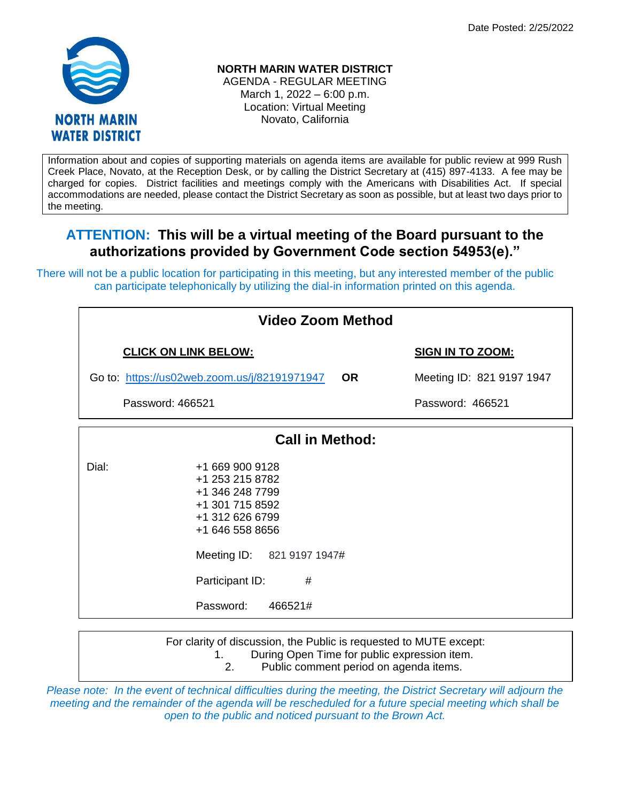

## **NORTH MARIN WATER DISTRICT**

AGENDA - REGULAR MEETING March 1, 2022 – 6:00 p.m. Location: Virtual Meeting Novato, California

Information about and copies of supporting materials on agenda items are available for public review at 999 Rush Creek Place, Novato, at the Reception Desk, or by calling the District Secretary at (415) 897-4133. A fee may be charged for copies. District facilities and meetings comply with the Americans with Disabilities Act. If special accommodations are needed, please contact the District Secretary as soon as possible, but at least two days prior to the meeting.

# **ATTENTION: This will be a virtual meeting of the Board pursuant to the authorizations provided by Government Code section 54953(e)."**

There will not be a public location for participating in this meeting, but any interested member of the public can participate telephonically by utilizing the dial-in information printed on this agenda.

| Video Zoom Method           |                                                                                                                                                                                              |           |                           |  |
|-----------------------------|----------------------------------------------------------------------------------------------------------------------------------------------------------------------------------------------|-----------|---------------------------|--|
| <b>CLICK ON LINK BELOW:</b> |                                                                                                                                                                                              |           | <b>SIGN IN TO ZOOM:</b>   |  |
|                             | Go to: https://us02web.zoom.us/j/82191971947                                                                                                                                                 | <b>OR</b> | Meeting ID: 821 9197 1947 |  |
| Password: 466521            |                                                                                                                                                                                              |           | Password: 466521          |  |
| <b>Call in Method:</b>      |                                                                                                                                                                                              |           |                           |  |
| Dial:                       | +1 669 900 9128<br>+1 253 215 8782<br>+1 346 248 7799<br>+1 301 715 8592<br>+1 312 626 6799<br>+1 646 558 8656<br>Meeting ID: 821 9197 1947#<br>Participant ID:<br>#<br>466521#<br>Password: |           |                           |  |

For clarity of discussion, the Public is requested to MUTE except: 1. During Open Time for public expression item. 2. Public comment period on agenda items.

*Please note: In the event of technical difficulties during the meeting, the District Secretary will adjourn the meeting and the remainder of the agenda will be rescheduled for a future special meeting which shall be open to the public and noticed pursuant to the Brown Act.*